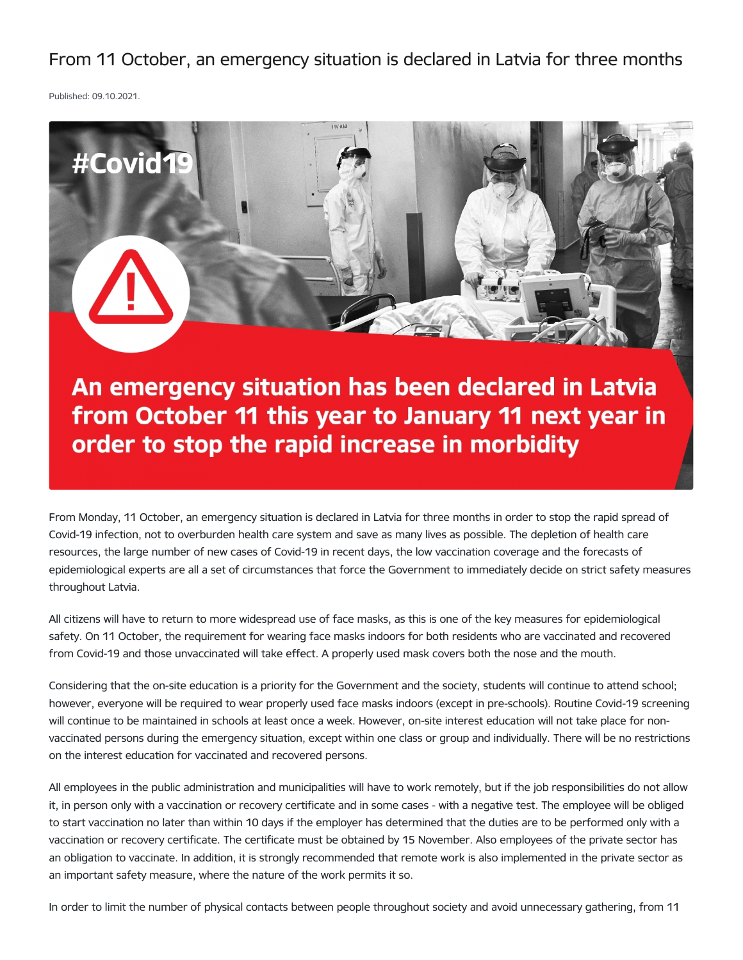From 11 October, an emergency situation is declared in Latvia for three months

Published: 09.10.2021.



from October 11 this year to January 11 next year in order to stop the rapid increase in morbidity

From Monday, 11 October, an emergency situation is declared in Latvia for three months in order to stop the rapid spread of Covid-19 infection, not to overburden health care system and save as many lives as possible. The depletion of health care resources, the large number of new cases of Covid-19 in recent days, the low vaccination coverage and the forecasts of epidemiological experts are all a set of circumstances that force the Government to immediately decide on strict safety measures throughout Latvia.

All citizens will have to return to more widespread use of face masks, as this is one of the key measures for epidemiological safety. On 11 October, the requirement for wearing face masks indoors for both residents who are vaccinated and recovered from Covid-19 and those unvaccinated will take effect. A properly used mask covers both the nose and the mouth.

Considering that the on-site education is a priority for the Government and the society, students will continue to attend school; however, everyone will be required to wear properly used face masks indoors (except in pre-schools). Routine Covid-19 screening will continue to be maintained in schools at least once a week. However, on-site interest education will not take place for nonvaccinated persons during the emergency situation, except within one class or group and individually. There will be no restrictions on the interest education for vaccinated and recovered persons.

All employees in the public administration and municipalities will have to work remotely, but if the job responsibilities do not allow it, in person only with a vaccination or recovery certificate and in some cases - with a negative test. The employee will be obliged to start vaccination no later than within 10 days if the employer has determined that the duties are to be performed only with a vaccination or recovery certificate. The certificate must be obtained by 15 November. Also employees of the private sector has an obligation to vaccinate. In addition, it is strongly recommended that remote work is also implemented in the private sector as an important safety measure, where the nature of the work permits it so.

In order to limit the number of physical contacts between people throughout society and avoid unnecessary gathering, from 11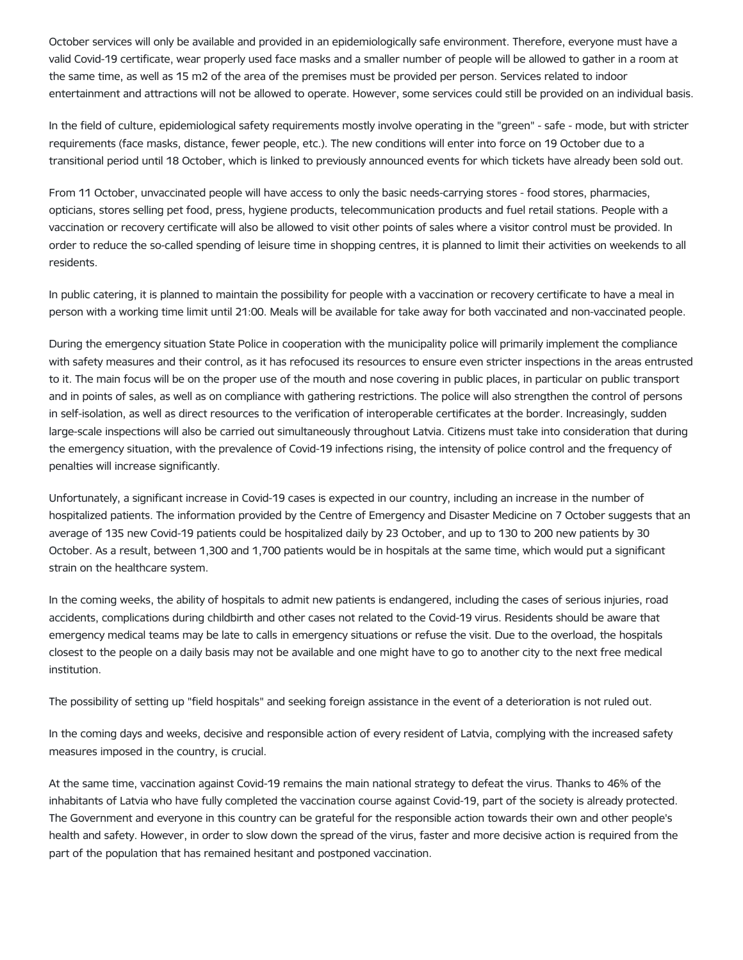October services will only be available and provided in an epidemiologically safe environment. Therefore, everyone must have a valid Covid-19 certificate, wear properly used face masks and a smaller number of people will be allowed to gather in a room at the same time, as well as 15 m2 of the area of the premises must be provided per person. Services related to indoor entertainment and attractions will not be allowed to operate. However, some services could still be provided on an individual basis.

In the field of culture, epidemiological safety requirements mostly involve operating in the "green" - safe - mode, but with stricter requirements (face masks, distance, fewer people, etc.). The new conditions will enter into force on 19 October due to a transitional period until 18 October, which is linked to previously announced events for which tickets have already been sold out.

From 11 October, unvaccinated people will have access to only the basic needs-carrying stores - food stores, pharmacies, opticians, stores selling pet food, press, hygiene products, telecommunication products and fuel retail stations. People with a vaccination or recovery certificate will also be allowed to visit other points of sales where a visitor control must be provided. In order to reduce the so-called spending of leisure time in shopping centres, it is planned to limit their activities on weekends to all residents.

In public catering, it is planned to maintain the possibility for people with a vaccination or recovery certificate to have a meal in person with a working time limit until 21:00. Meals will be available for take away for both vaccinated and non-vaccinated people.

During the emergency situation State Police in cooperation with the municipality police will primarily implement the compliance with safety measures and their control, as it has refocused its resources to ensure even stricter inspections in the areas entrusted to it. The main focus will be on the proper use of the mouth and nose covering in public places, in particular on public transport and in points of sales, as well as on compliance with gathering restrictions. The police will also strengthen the control of persons in self-isolation, as well as direct resources to the verification of interoperable certificates at the border. Increasingly, sudden large-scale inspections will also be carried out simultaneously throughout Latvia. Citizens must take into consideration that during the emergency situation, with the prevalence of Covid-19 infections rising, the intensity of police control and the frequency of penalties will increase significantly.

Unfortunately, a significant increase in Covid-19 cases is expected in our country, including an increase in the number of hospitalized patients. The information provided by the Centre of Emergency and Disaster Medicine on 7 October suggests that an average of 135 new Covid-19 patients could be hospitalized daily by 23 October, and up to 130 to 200 new patients by 30 October. As a result, between 1,300 and 1,700 patients would be in hospitals at the same time, which would put a significant strain on the healthcare system.

In the coming weeks, the ability of hospitals to admit new patients is endangered, including the cases of serious injuries, road accidents, complications during childbirth and other cases not related to the Covid-19 virus. Residents should be aware that emergency medical teams may be late to calls in emergency situations or refuse the visit. Due to the overload, the hospitals closest to the people on a daily basis may not be available and one might have to go to another city to the next free medical institution.

The possibility of setting up "field hospitals" and seeking foreign assistance in the event of a deterioration is not ruled out.

In the coming days and weeks, decisive and responsible action of every resident of Latvia, complying with the increased safety measures imposed in the country, is crucial.

At the same time, vaccination against Covid-19 remains the main national strategy to defeat the virus. Thanks to 46% of the inhabitants of Latvia who have fully completed the vaccination course against Covid-19, part of the society is already protected. The Government and everyone in this country can be grateful for the responsible action towards their own and other people's health and safety. However, in order to slow down the spread of the virus, faster and more decisive action is required from the part of the population that has remained hesitant and postponed vaccination.